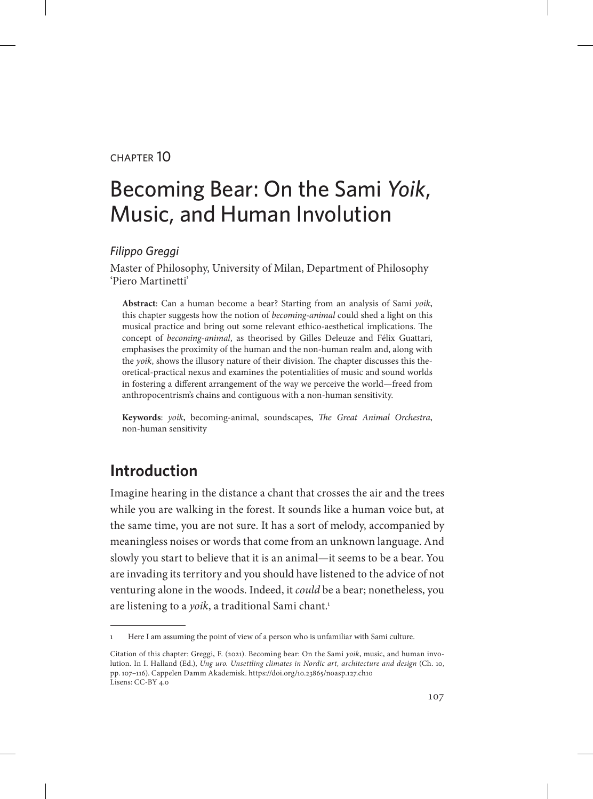#### chapter 10

# Becoming Bear: On the Sami *Yoik*, Music, and Human Involution

#### *Filippo Greggi*

Master of Philosophy, University of Milan, Department of Philosophy 'Piero Martinetti'

**Abstract**: Can a human become a bear? Starting from an analysis of Sami *yoik*, this chapter suggests how the notion of *becoming-animal* could shed a light on this musical practice and bring out some relevant ethico-aesthetical implications. The concept of *becoming-animal*, as theorised by Gilles Deleuze and Félix Guattari, emphasises the proximity of the human and the non-human realm and, along with the *yoik*, shows the illusory nature of their division. The chapter discusses this theoretical-practical nexus and examines the potentialities of music and sound worlds in fostering a different arrangement of the way we perceive the world—freed from anthropocentrism's chains and contiguous with a non-human sensitivity.

**Keywords**: *yoik*, becoming-animal, soundscapes, *The Great Animal Orchestra*, non-human sensitivity

## **Introduction**

Imagine hearing in the distance a chant that crosses the air and the trees while you are walking in the forest. It sounds like a human voice but, at the same time, you are not sure. It has a sort of melody, accompanied by meaningless noises or words that come from an unknown language. And slowly you start to believe that it is an animal—it seems to be a bear. You are invading its territory and you should have listened to the advice of not venturing alone in the woods. Indeed, it *could* be a bear; nonetheless, you are listening to a *yoik*, a traditional Sami chant.<sup>1</sup>

<sup>1</sup> Here I am assuming the point of view of a person who is unfamiliar with Sami culture.

Citation of this chapter: Greggi, F. (2021). Becoming bear: On the Sami *yoik*, music, and human involution. In I. Halland (Ed.), *Ung uro. Unsettling climates in Nordic art, architecture and design* (Ch. 10, pp. 107–116). Cappelen Damm Akademisk. https://doi.org/10.23865/noasp.127.ch10 Lisens: CC-BY 4.0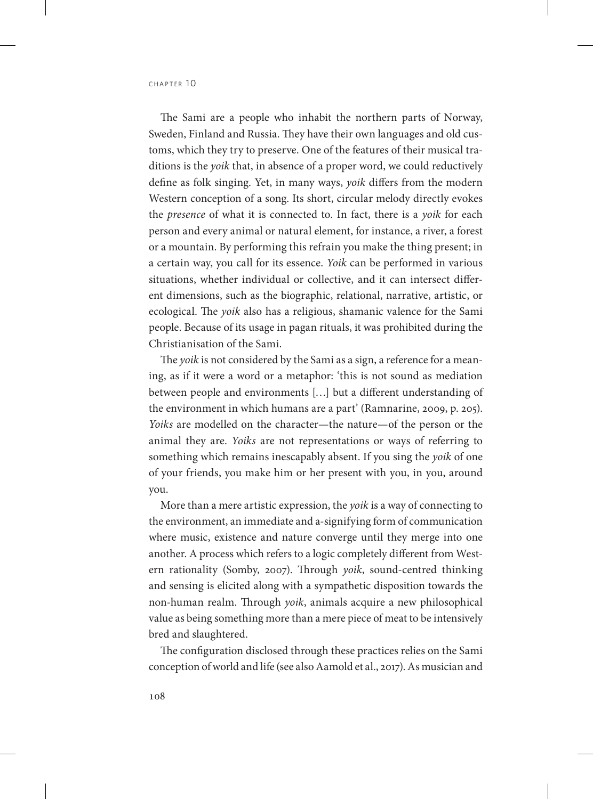The Sami are a people who inhabit the northern parts of Norway, Sweden, Finland and Russia. They have their own languages and old customs, which they try to preserve. One of the features of their musical traditions is the *yoik* that, in absence of a proper word, we could reductively define as folk singing. Yet, in many ways, *yoik* differs from the modern Western conception of a song. Its short, circular melody directly evokes the *presence* of what it is connected to. In fact, there is a *yoik* for each person and every animal or natural element, for instance, a river, a forest or a mountain. By performing this refrain you make the thing present; in a certain way, you call for its essence. *Yoik* can be performed in various situations, whether individual or collective, and it can intersect different dimensions, such as the biographic, relational, narrative, artistic, or ecological. The *yoik* also has a religious, shamanic valence for the Sami people. Because of its usage in pagan rituals, it was prohibited during the Christianisation of the Sami.

The *yoik* is not considered by the Sami as a sign, a reference for a meaning, as if it were a word or a metaphor: 'this is not sound as mediation between people and environments […] but a different understanding of the environment in which humans are a part' (Ramnarine, 2009, p. 205). *Yoiks* are modelled on the character—the nature—of the person or the animal they are. *Yoiks* are not representations or ways of referring to something which remains inescapably absent. If you sing the *yoik* of one of your friends, you make him or her present with you, in you, around you.

More than a mere artistic expression, the *yoik* is a way of connecting to the environment, an immediate and a-signifying form of communication where music, existence and nature converge until they merge into one another. A process which refers to a logic completely different from Western rationality (Somby, 2007). Through *yoik*, sound-centred thinking and sensing is elicited along with a sympathetic disposition towards the non-human realm. Through *yoik*, animals acquire a new philosophical value as being something more than a mere piece of meat to be intensively bred and slaughtered.

The configuration disclosed through these practices relies on the Sami conception of world and life (see also Aamold et al., 2017). As musician and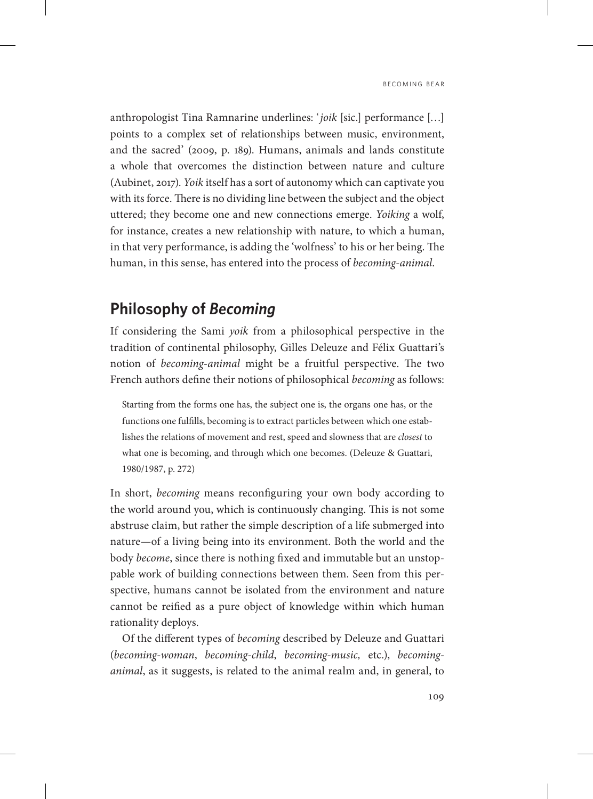anthropologist Tina Ramnarine underlines: '*joik* [sic.] performance […] points to a complex set of relationships between music, environment, and the sacred' (2009, p. 189). Humans, animals and lands constitute a whole that overcomes the distinction between nature and culture (Aubinet, 2017). *Yoik* itself has a sort of autonomy which can captivate you with its force. There is no dividing line between the subject and the object uttered; they become one and new connections emerge. *Yoiking* a wolf, for instance, creates a new relationship with nature, to which a human, in that very performance, is adding the 'wolfness' to his or her being. The human, in this sense, has entered into the process of *becoming-animal*.

#### **Philosophy of** *Becoming*

If considering the Sami *yoik* from a philosophical perspective in the tradition of continental philosophy, Gilles Deleuze and Félix Guattari's notion of *becoming-animal* might be a fruitful perspective. The two French authors define their notions of philosophical *becoming* as follows:

Starting from the forms one has, the subject one is, the organs one has, or the functions one fulfills, becoming is to extract particles between which one establishes the relations of movement and rest, speed and slowness that are *closest* to what one is becoming, and through which one becomes. (Deleuze & Guattari, 1980/1987, p. 272)

In short, *becoming* means reconfiguring your own body according to the world around you, which is continuously changing. This is not some abstruse claim, but rather the simple description of a life submerged into nature—of a living being into its environment. Both the world and the body *become*, since there is nothing fixed and immutable but an unstoppable work of building connections between them. Seen from this perspective, humans cannot be isolated from the environment and nature cannot be reified as a pure object of knowledge within which human rationality deploys.

Of the different types of *becoming* described by Deleuze and Guattari (*becoming-woman*, *becoming-child*, *becoming-music,* etc.), *becominganimal*, as it suggests, is related to the animal realm and, in general, to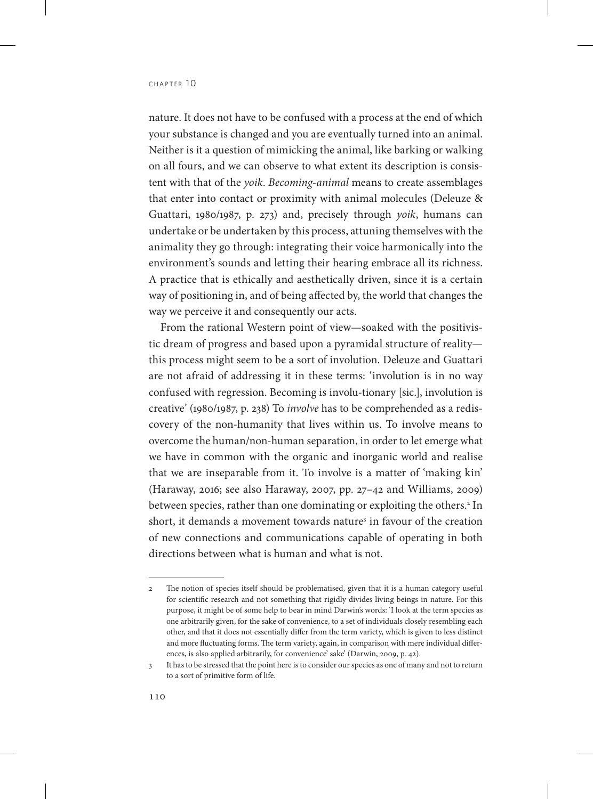nature. It does not have to be confused with a process at the end of which your substance is changed and you are eventually turned into an animal. Neither is it a question of mimicking the animal, like barking or walking on all fours, and we can observe to what extent its description is consistent with that of the *yoik*. *Becoming-animal* means to create assemblages that enter into contact or proximity with animal molecules (Deleuze & Guattari, 1980/1987, p. 273) and, precisely through *yoik*, humans can undertake or be undertaken by this process, attuning themselves with the animality they go through: integrating their voice harmonically into the environment's sounds and letting their hearing embrace all its richness. A practice that is ethically and aesthetically driven, since it is a certain way of positioning in, and of being affected by, the world that changes the way we perceive it and consequently our acts.

From the rational Western point of view—soaked with the positivistic dream of progress and based upon a pyramidal structure of reality this process might seem to be a sort of involution. Deleuze and Guattari are not afraid of addressing it in these terms: 'involution is in no way confused with regression. Becoming is involu-tionary [sic.], involution is creative' (1980/1987, p. 238) To *involve* has to be comprehended as a rediscovery of the non-humanity that lives within us. To involve means to overcome the human/non-human separation, in order to let emerge what we have in common with the organic and inorganic world and realise that we are inseparable from it. To involve is a matter of 'making kin' (Haraway, 2016; see also Haraway, 2007, pp. 27–42 and Williams, 2009) between species, rather than one dominating or exploiting the others.<sup>2</sup> In short, it demands a movement towards nature<sup>3</sup> in favour of the creation of new connections and communications capable of operating in both directions between what is human and what is not.

<sup>2</sup> The notion of species itself should be problematised, given that it is a human category useful for scientific research and not something that rigidly divides living beings in nature. For this purpose, it might be of some help to bear in mind Darwin's words: 'I look at the term species as one arbitrarily given, for the sake of convenience, to a set of individuals closely resembling each other, and that it does not essentially differ from the term variety, which is given to less distinct and more fluctuating forms. The term variety, again, in comparison with mere individual differences, is also applied arbitrarily, for convenience' sake' (Darwin, 2009, p. 42).

<sup>3</sup> It has to be stressed that the point here is to consider our species as one of many and not to return to a sort of primitive form of life.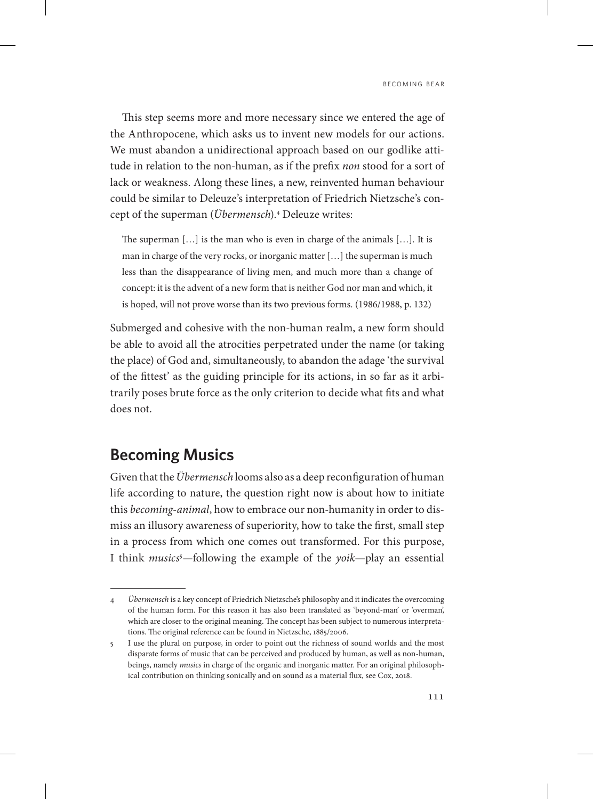This step seems more and more necessary since we entered the age of the Anthropocene, which asks us to invent new models for our actions. We must abandon a unidirectional approach based on our godlike attitude in relation to the non-human, as if the prefix *non* stood for a sort of lack or weakness. Along these lines, a new, reinvented human behaviour could be similar to Deleuze's interpretation of Friedrich Nietzsche's concept of the superman (*Übermensch*).4 Deleuze writes:

The superman […] is the man who is even in charge of the animals […]. It is man in charge of the very rocks, or inorganic matter […] the superman is much less than the disappearance of living men, and much more than a change of concept: it is the advent of a new form that is neither God nor man and which, it is hoped, will not prove worse than its two previous forms. (1986/1988, p. 132)

Submerged and cohesive with the non-human realm, a new form should be able to avoid all the atrocities perpetrated under the name (or taking the place) of God and, simultaneously, to abandon the adage 'the survival of the fittest' as the guiding principle for its actions, in so far as it arbitrarily poses brute force as the only criterion to decide what fits and what does not.

# **Becoming Musics**

Given that the *Übermensch* looms also as a deep reconfiguration of human life according to nature, the question right now is about how to initiate this *becoming-animal*, how to embrace our non-humanity in order to dismiss an illusory awareness of superiority, how to take the first, small step in a process from which one comes out transformed. For this purpose, I think *musics*<sup>5</sup>—following the example of the *yoik*—play an essential

<sup>4</sup> *Übermensch* is a key concept of Friedrich Nietzsche's philosophy and it indicates the overcoming of the human form. For this reason it has also been translated as 'beyond-man' or 'overman', which are closer to the original meaning. The concept has been subject to numerous interpretations. The original reference can be found in Nietzsche, 1885/2006.

<sup>5</sup> I use the plural on purpose, in order to point out the richness of sound worlds and the most disparate forms of music that can be perceived and produced by human, as well as non-human, beings, namely *musics* in charge of the organic and inorganic matter. For an original philosophical contribution on thinking sonically and on sound as a material flux, see Cox, 2018.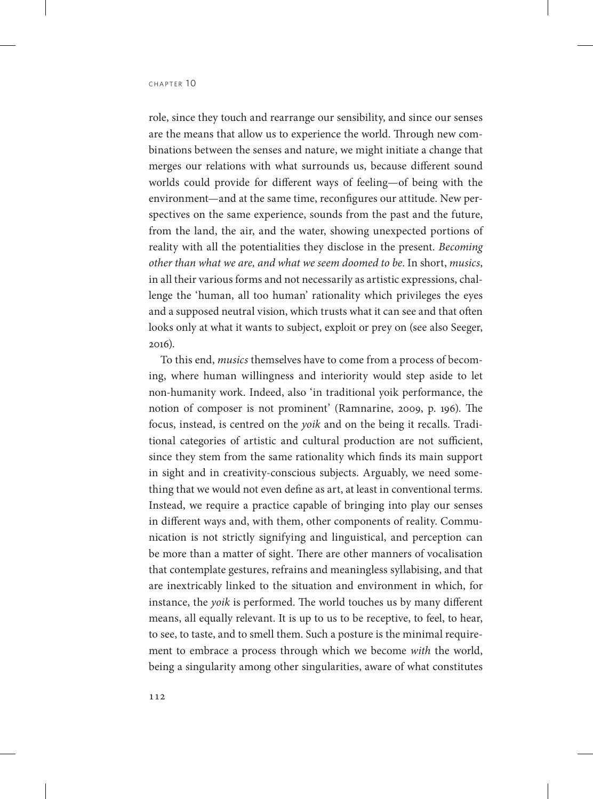role, since they touch and rearrange our sensibility, and since our senses are the means that allow us to experience the world. Through new combinations between the senses and nature, we might initiate a change that merges our relations with what surrounds us, because different sound worlds could provide for different ways of feeling—of being with the environment—and at the same time, reconfigures our attitude. New perspectives on the same experience, sounds from the past and the future, from the land, the air, and the water, showing unexpected portions of reality with all the potentialities they disclose in the present. *Becoming other than what we are, and what we seem doomed to be*. In short, *musics*, in all their various forms and not necessarily as artistic expressions, challenge the 'human, all too human' rationality which privileges the eyes and a supposed neutral vision, which trusts what it can see and that often looks only at what it wants to subject, exploit or prey on (see also Seeger, 2016).

To this end, *musics* themselves have to come from a process of becoming, where human willingness and interiority would step aside to let non-humanity work. Indeed, also 'in traditional yoik performance, the notion of composer is not prominent' (Ramnarine, 2009, p. 196). The focus, instead, is centred on the *yoik* and on the being it recalls. Traditional categories of artistic and cultural production are not sufficient, since they stem from the same rationality which finds its main support in sight and in creativity-conscious subjects. Arguably, we need something that we would not even define as art, at least in conventional terms. Instead, we require a practice capable of bringing into play our senses in different ways and, with them, other components of reality. Communication is not strictly signifying and linguistical, and perception can be more than a matter of sight. There are other manners of vocalisation that contemplate gestures, refrains and meaningless syllabising, and that are inextricably linked to the situation and environment in which, for instance, the *yoik* is performed. The world touches us by many different means, all equally relevant. It is up to us to be receptive, to feel, to hear, to see, to taste, and to smell them. Such a posture is the minimal requirement to embrace a process through which we become *with* the world, being a singularity among other singularities, aware of what constitutes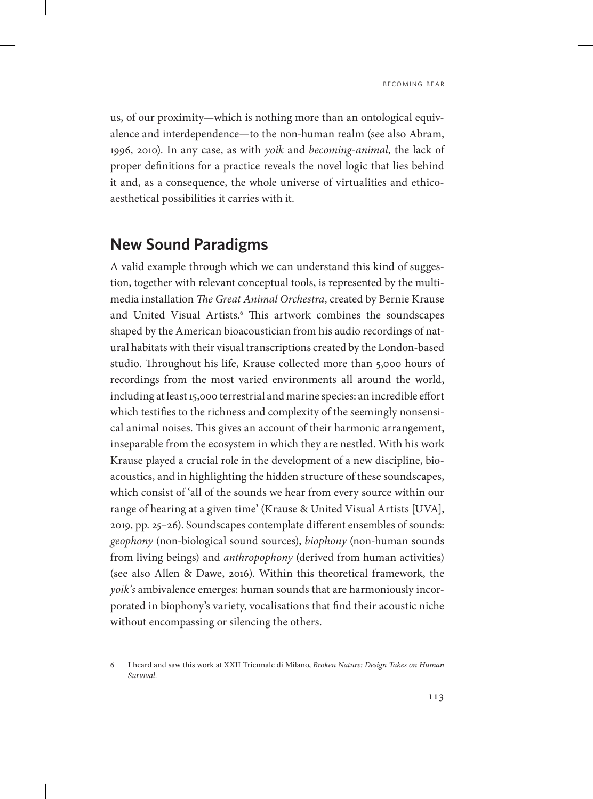us, of our proximity—which is nothing more than an ontological equivalence and interdependence—to the non-human realm (see also Abram, 1996, 2010). In any case, as with *yoik* and *becoming-animal*, the lack of proper definitions for a practice reveals the novel logic that lies behind it and, as a consequence, the whole universe of virtualities and ethicoaesthetical possibilities it carries with it.

## **New Sound Paradigms**

A valid example through which we can understand this kind of suggestion, together with relevant conceptual tools, is represented by the multimedia installation *The Great Animal Orchestra*, created by Bernie Krause and United Visual Artists.<sup>6</sup> This artwork combines the soundscapes shaped by the American bioacoustician from his audio recordings of natural habitats with their visual transcriptions created by the London-based studio. Throughout his life, Krause collected more than 5,000 hours of recordings from the most varied environments all around the world, including at least 15,000 terrestrial and marine species: an incredible effort which testifies to the richness and complexity of the seemingly nonsensical animal noises. This gives an account of their harmonic arrangement, inseparable from the ecosystem in which they are nestled. With his work Krause played a crucial role in the development of a new discipline, bioacoustics, and in highlighting the hidden structure of these soundscapes, which consist of 'all of the sounds we hear from every source within our range of hearing at a given time' (Krause & United Visual Artists [UVA], 2019, pp. 25–26). Soundscapes contemplate different ensembles of sounds: *geophony* (non-biological sound sources), *biophony* (non-human sounds from living beings) and *anthropophony* (derived from human activities) (see also Allen & Dawe, 2016). Within this theoretical framework, the *yoik's* ambivalence emerges: human sounds that are harmoniously incorporated in biophony's variety, vocalisations that find their acoustic niche without encompassing or silencing the others.

<sup>6</sup> I heard and saw this work at XXII Triennale di Milano, *Broken Nature: Design Takes on Human Survival*.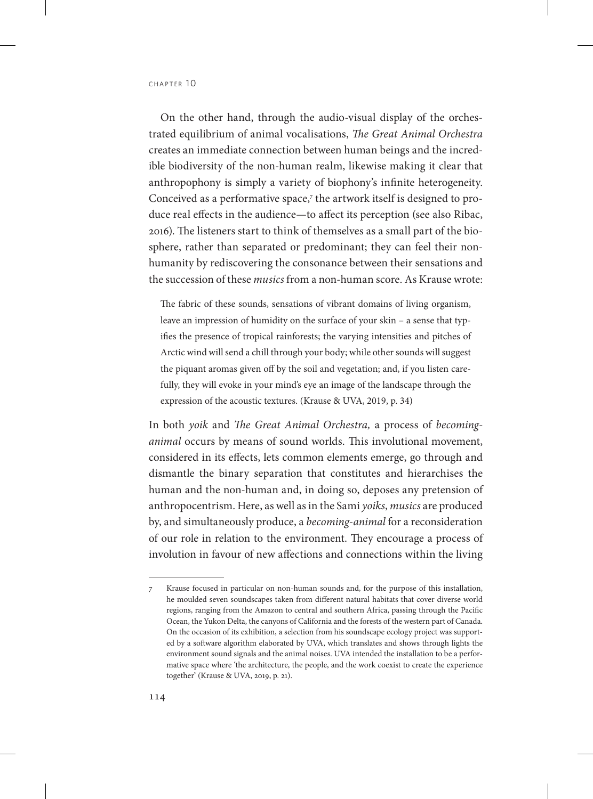On the other hand, through the audio-visual display of the orchestrated equilibrium of animal vocalisations, *The Great Animal Orchestra* creates an immediate connection between human beings and the incredible biodiversity of the non-human realm, likewise making it clear that anthropophony is simply a variety of biophony's infinite heterogeneity. Conceived as a performative space, $\tau$  the artwork itself is designed to produce real effects in the audience—to affect its perception (see also Ribac, 2016). The listeners start to think of themselves as a small part of the biosphere, rather than separated or predominant; they can feel their nonhumanity by rediscovering the consonance between their sensations and the succession of these *musics* from a non-human score. As Krause wrote:

The fabric of these sounds, sensations of vibrant domains of living organism, leave an impression of humidity on the surface of your skin – a sense that typifies the presence of tropical rainforests; the varying intensities and pitches of Arctic wind will send a chill through your body; while other sounds will suggest the piquant aromas given off by the soil and vegetation; and, if you listen carefully, they will evoke in your mind's eye an image of the landscape through the expression of the acoustic textures. (Krause & UVA, 2019, p. 34)

In both *yoik* and *The Great Animal Orchestra,* a process of *becominganimal* occurs by means of sound worlds. This involutional movement, considered in its effects, lets common elements emerge, go through and dismantle the binary separation that constitutes and hierarchises the human and the non-human and, in doing so, deposes any pretension of anthropocentrism. Here, as well as in the Sami *yoiks*, *musics* are produced by, and simultaneously produce, a *becoming-animal* for a reconsideration of our role in relation to the environment. They encourage a process of involution in favour of new affections and connections within the living

<sup>7</sup> Krause focused in particular on non-human sounds and, for the purpose of this installation, he moulded seven soundscapes taken from different natural habitats that cover diverse world regions, ranging from the Amazon to central and southern Africa, passing through the Pacific Ocean, the Yukon Delta, the canyons of California and the forests of the western part of Canada. On the occasion of its exhibition, a selection from his soundscape ecology project was supported by a software algorithm elaborated by UVA, which translates and shows through lights the environment sound signals and the animal noises. UVA intended the installation to be a performative space where 'the architecture, the people, and the work coexist to create the experience together' (Krause & UVA, 2019, p. 21).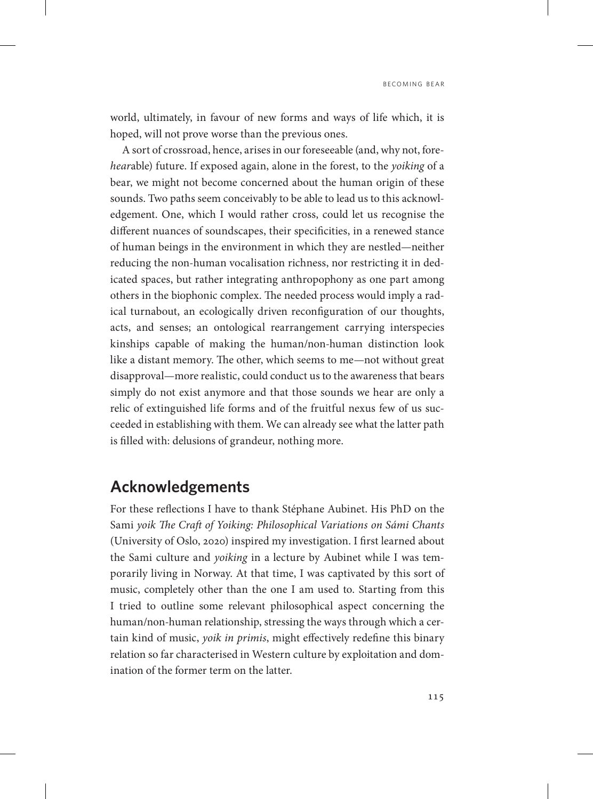world, ultimately, in favour of new forms and ways of life which, it is hoped, will not prove worse than the previous ones.

A sort of crossroad, hence, arises in our foreseeable (and, why not, fore*hear*able) future. If exposed again, alone in the forest, to the *yoiking* of a bear, we might not become concerned about the human origin of these sounds. Two paths seem conceivably to be able to lead us to this acknowledgement. One, which I would rather cross, could let us recognise the different nuances of soundscapes, their specificities, in a renewed stance of human beings in the environment in which they are nestled—neither reducing the non-human vocalisation richness, nor restricting it in dedicated spaces, but rather integrating anthropophony as one part among others in the biophonic complex. The needed process would imply a radical turnabout, an ecologically driven reconfiguration of our thoughts, acts, and senses; an ontological rearrangement carrying interspecies kinships capable of making the human/non-human distinction look like a distant memory. The other, which seems to me—not without great disapproval—more realistic, could conduct us to the awareness that bears simply do not exist anymore and that those sounds we hear are only a relic of extinguished life forms and of the fruitful nexus few of us succeeded in establishing with them. We can already see what the latter path is filled with: delusions of grandeur, nothing more.

## **Acknowledgements**

For these reflections I have to thank Stéphane Aubinet. His PhD on the Sami *yoik The Craft of Yoiking: Philosophical Variations on Sámi Chants* (University of Oslo, 2020) inspired my investigation. I first learned about the Sami culture and *yoiking* in a lecture by Aubinet while I was temporarily living in Norway. At that time, I was captivated by this sort of music, completely other than the one I am used to. Starting from this I tried to outline some relevant philosophical aspect concerning the human/non-human relationship, stressing the ways through which a certain kind of music, *yoik in primis*, might effectively redefine this binary relation so far characterised in Western culture by exploitation and domination of the former term on the latter.